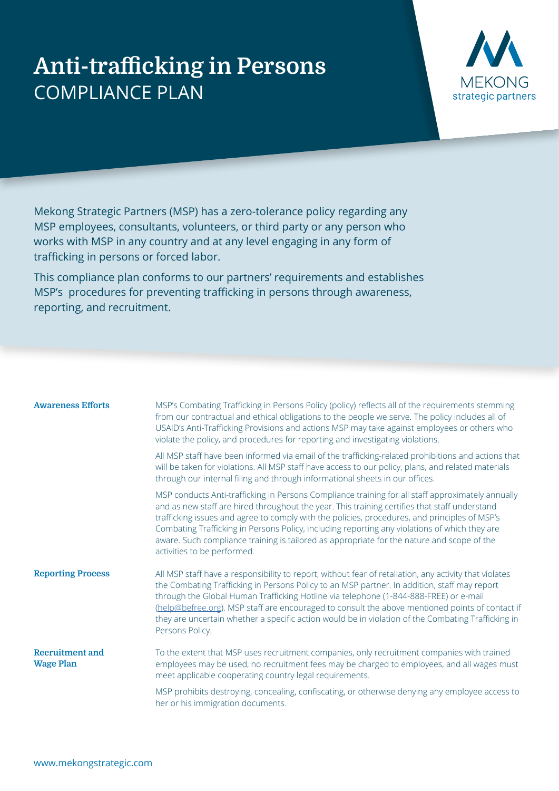## **Anti-trafficking in Persons** COMPLIANCE PLAN



Mekong Strategic Partners (MSP) has a zero-tolerance policy regarding any MSP employees, consultants, volunteers, or third party or any person who works with MSP in any country and at any level engaging in any form of trafficking in persons or forced labor.

This compliance plan conforms to our partners' requirements and establishes MSP's procedures for preventing trafficking in persons through awareness, reporting, and recruitment.

| <b>Awareness Efforts</b>                   | MSP's Combating Trafficking in Persons Policy (policy) reflects all of the requirements stemming<br>from our contractual and ethical obligations to the people we serve. The policy includes all of<br>USAID's Anti-Trafficking Provisions and actions MSP may take against employees or others who<br>violate the policy, and procedures for reporting and investigating violations.                                                                                                                                             |
|--------------------------------------------|-----------------------------------------------------------------------------------------------------------------------------------------------------------------------------------------------------------------------------------------------------------------------------------------------------------------------------------------------------------------------------------------------------------------------------------------------------------------------------------------------------------------------------------|
|                                            | All MSP staff have been informed via email of the trafficking-related prohibitions and actions that<br>will be taken for violations. All MSP staff have access to our policy, plans, and related materials<br>through our internal filing and through informational sheets in our offices.                                                                                                                                                                                                                                        |
|                                            | MSP conducts Anti-trafficking in Persons Compliance training for all staff approximately annually<br>and as new staff are hired throughout the year. This training certifies that staff understand<br>trafficking issues and agree to comply with the policies, procedures, and principles of MSP's<br>Combating Trafficking in Persons Policy, including reporting any violations of which they are<br>aware. Such compliance training is tailored as appropriate for the nature and scope of the<br>activities to be performed. |
| <b>Reporting Process</b>                   | All MSP staff have a responsibility to report, without fear of retaliation, any activity that violates<br>the Combating Trafficking in Persons Policy to an MSP partner. In addition, staff may report<br>through the Global Human Trafficking Hotline via telephone (1-844-888-FREE) or e-mail<br>(help@befree.org). MSP staff are encouraged to consult the above mentioned points of contact if<br>they are uncertain whether a specific action would be in violation of the Combating Trafficking in<br>Persons Policy.       |
| <b>Recruitment and</b><br><b>Wage Plan</b> | To the extent that MSP uses recruitment companies, only recruitment companies with trained<br>employees may be used, no recruitment fees may be charged to employees, and all wages must<br>meet applicable cooperating country legal requirements.                                                                                                                                                                                                                                                                               |
|                                            | MSP prohibits destroying, concealing, confiscating, or otherwise denying any employee access to<br>her or his immigration documents.                                                                                                                                                                                                                                                                                                                                                                                              |